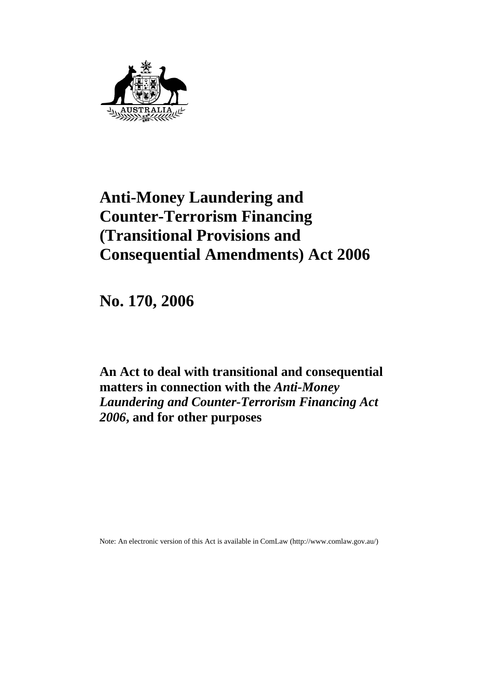

# **Anti-Money Laundering and Counter-Terrorism Financing (Transitional Provisions and Consequential Amendments) Act 2006**

**No. 170, 2006** 

**An Act to deal with transitional and consequential matters in connection with the** *Anti-Money Laundering and Counter-Terrorism Financing Act 2006***, and for other purposes** 

Note: An electronic version of this Act is available in ComLaw (http://www.comlaw.gov.au/)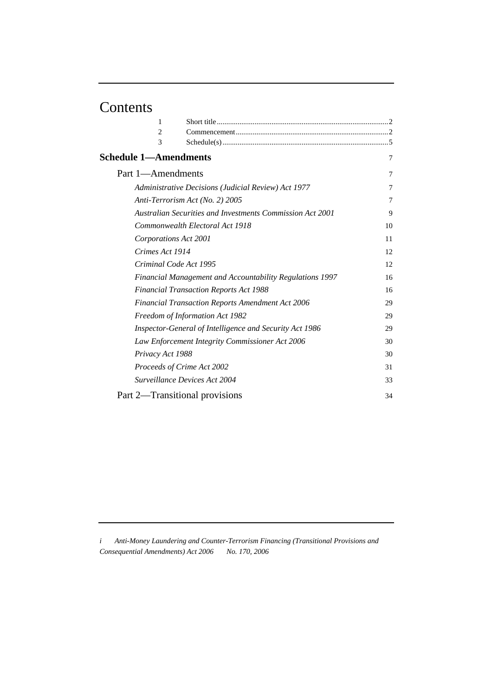# Contents

| 1                            |                                                                 |                |
|------------------------------|-----------------------------------------------------------------|----------------|
| 2                            |                                                                 |                |
| 3                            |                                                                 |                |
| <b>Schedule 1-Amendments</b> |                                                                 | $\overline{7}$ |
| Part 1-Amendments            |                                                                 | 7              |
|                              | Administrative Decisions (Judicial Review) Act 1977             | 7              |
|                              | Anti-Terrorism Act (No. 2) 2005                                 | 7              |
|                              | Australian Securities and Investments Commission Act 2001       | 9              |
|                              | Commonwealth Electoral Act 1918                                 | 10             |
| Corporations Act 2001        |                                                                 | 11             |
| Crimes Act 1914              |                                                                 | 12             |
|                              | Criminal Code Act 1995                                          | 12             |
|                              | <b>Financial Management and Accountability Regulations 1997</b> | 16             |
|                              | <b>Financial Transaction Reports Act 1988</b>                   | 16             |
|                              | <b>Financial Transaction Reports Amendment Act 2006</b>         | 29             |
|                              | Freedom of Information Act 1982                                 | 29             |
|                              | Inspector-General of Intelligence and Security Act 1986         | 29             |
|                              | Law Enforcement Integrity Commissioner Act 2006                 | 30             |
| Privacy Act 1988             |                                                                 | 30             |
|                              | Proceeds of Crime Act 2002                                      | 31             |
|                              | Surveillance Devices Act 2004                                   | 33             |
|                              | Part 2-Transitional provisions                                  | 34             |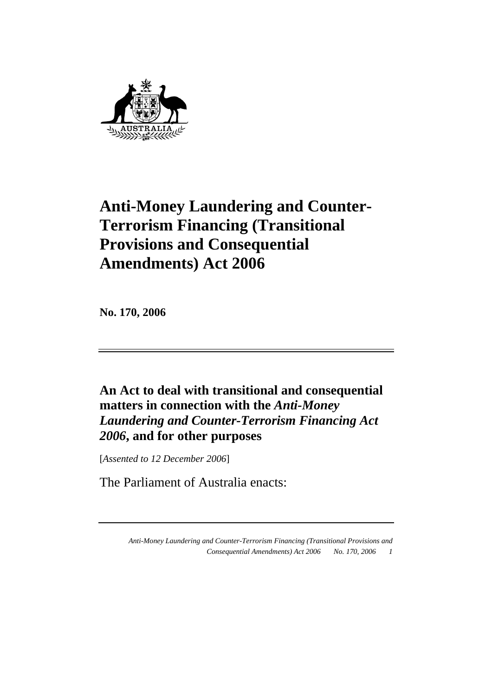

# **Anti-Money Laundering and Counter-Terrorism Financing (Transitional Provisions and Consequential Amendments) Act 2006**

**No. 170, 2006** 

**An Act to deal with transitional and consequential matters in connection with the** *Anti-Money Laundering and Counter-Terrorism Financing Act 2006***, and for other purposes** 

[*Assented to 12 December 2006*]

The Parliament of Australia enacts: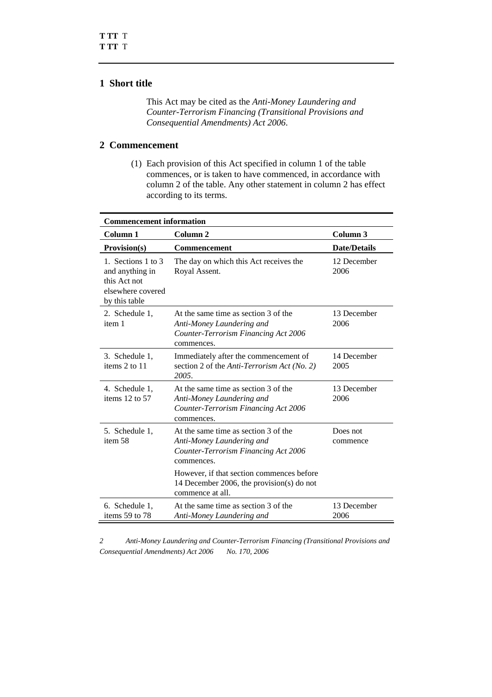## **1 Short title**

 This Act may be cited as the *Anti-Money Laundering and Counter-Terrorism Financing (Transitional Provisions and Consequential Amendments) Act 2006*.

## **2 Commencement**

 (1) Each provision of this Act specified in column 1 of the table commences, or is taken to have commenced, in accordance with column 2 of the table. Any other statement in column 2 has effect according to its terms.

| <b>Commencement information</b>                                                             |                                                                                                                         |                      |  |
|---------------------------------------------------------------------------------------------|-------------------------------------------------------------------------------------------------------------------------|----------------------|--|
| Column 1                                                                                    | Column 2                                                                                                                | Column 3             |  |
| Provision(s)                                                                                | <b>Commencement</b>                                                                                                     | <b>Date/Details</b>  |  |
| 1. Sections 1 to 3<br>and anything in<br>this Act not<br>elsewhere covered<br>by this table | The day on which this Act receives the<br>Royal Assent.                                                                 | 12 December<br>2006  |  |
| 2. Schedule 1,<br>item 1                                                                    | At the same time as section 3 of the<br>Anti-Money Laundering and<br>Counter-Terrorism Financing Act 2006<br>commences. | 13 December<br>2006  |  |
| 3. Schedule 1,<br>items 2 to 11                                                             | Immediately after the commencement of<br>section 2 of the Anti-Terrorism Act (No. 2)<br>2005.                           | 14 December<br>2005  |  |
| 4. Schedule 1,<br>items $12$ to $57$                                                        | At the same time as section 3 of the<br>Anti-Money Laundering and<br>Counter-Terrorism Financing Act 2006<br>commences. | 13 December<br>2006  |  |
| 5. Schedule 1,<br>item 58                                                                   | At the same time as section 3 of the<br>Anti-Money Laundering and<br>Counter-Terrorism Financing Act 2006<br>commences. | Does not<br>commence |  |
|                                                                                             | However, if that section commences before<br>14 December 2006, the provision(s) do not<br>commence at all.              |                      |  |
| 6. Schedule 1,<br>items 59 to 78                                                            | At the same time as section 3 of the<br>Anti-Money Laundering and                                                       | 13 December<br>2006  |  |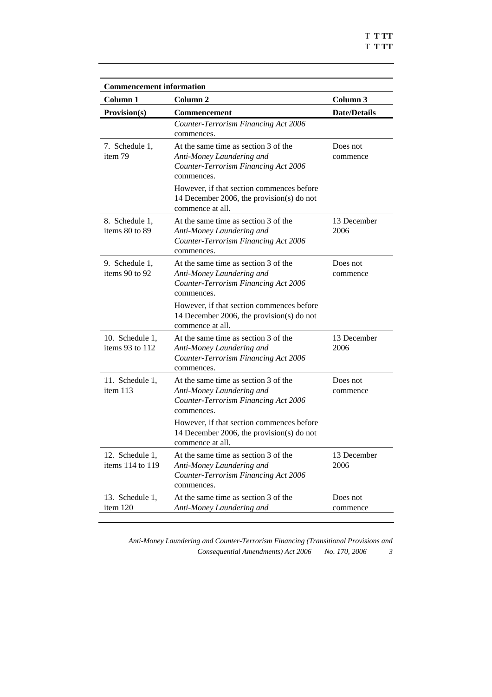| <b>Commencement information</b>      |                                                                                                                         |                      |
|--------------------------------------|-------------------------------------------------------------------------------------------------------------------------|----------------------|
| Column <sub>1</sub>                  | Column <sub>2</sub>                                                                                                     | Column 3             |
| <b>Provision(s)</b>                  | Commencement                                                                                                            | <b>Date/Details</b>  |
|                                      | Counter-Terrorism Financing Act 2006<br>commences.                                                                      |                      |
| 7. Schedule 1,<br>item 79            | At the same time as section 3 of the<br>Anti-Money Laundering and<br>Counter-Terrorism Financing Act 2006<br>commences. | Does not<br>commence |
|                                      | However, if that section commences before<br>14 December 2006, the provision(s) do not<br>commence at all.              |                      |
| 8. Schedule 1,<br>items 80 to 89     | At the same time as section 3 of the<br>Anti-Money Laundering and<br>Counter-Terrorism Financing Act 2006<br>commences. | 13 December<br>2006  |
| 9. Schedule 1,<br>items 90 to 92     | At the same time as section 3 of the<br>Anti-Money Laundering and<br>Counter-Terrorism Financing Act 2006<br>commences. | Does not<br>commence |
|                                      | However, if that section commences before<br>14 December 2006, the provision(s) do not<br>commence at all.              |                      |
| 10. Schedule 1,<br>items 93 to $112$ | At the same time as section 3 of the<br>Anti-Money Laundering and<br>Counter-Terrorism Financing Act 2006<br>commences. | 13 December<br>2006  |
| 11. Schedule 1,<br>item 113          | At the same time as section 3 of the<br>Anti-Money Laundering and<br>Counter-Terrorism Financing Act 2006<br>commences. | Does not<br>commence |
|                                      | However, if that section commences before<br>14 December 2006, the provision(s) do not<br>commence at all.              |                      |
| 12. Schedule 1,<br>items 114 to 119  | At the same time as section 3 of the<br>Anti-Money Laundering and<br>Counter-Terrorism Financing Act 2006<br>commences. | 13 December<br>2006  |
| 13. Schedule 1,<br>item 120          | At the same time as section 3 of the<br>Anti-Money Laundering and                                                       | Does not<br>commence |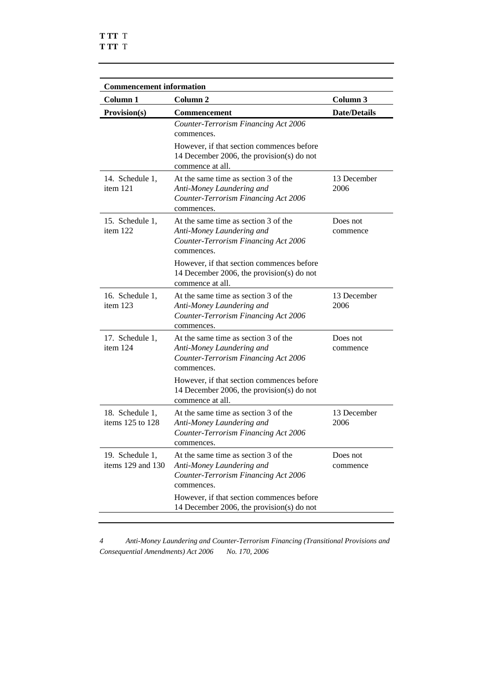| <b>Commencement information</b>          |                                                                                                                                              |                      |
|------------------------------------------|----------------------------------------------------------------------------------------------------------------------------------------------|----------------------|
| Column <sub>1</sub>                      | Column <sub>2</sub>                                                                                                                          | Column 3             |
| Provision(s)                             | <b>Commencement</b>                                                                                                                          | <b>Date/Details</b>  |
|                                          | Counter-Terrorism Financing Act 2006<br>commences.<br>However, if that section commences before<br>14 December 2006, the provision(s) do not |                      |
|                                          | commence at all.                                                                                                                             |                      |
| 14. Schedule 1,<br>item 121              | At the same time as section 3 of the<br>Anti-Money Laundering and<br>Counter-Terrorism Financing Act 2006<br>commences.                      | 13 December<br>2006  |
| 15. Schedule 1,<br>item 122              | At the same time as section 3 of the<br>Anti-Money Laundering and<br>Counter-Terrorism Financing Act 2006<br>commences.                      | Does not<br>commence |
|                                          | However, if that section commences before<br>14 December 2006, the provision(s) do not<br>commence at all.                                   |                      |
| 16. Schedule 1,<br>item 123              | At the same time as section 3 of the<br>Anti-Money Laundering and<br>Counter-Terrorism Financing Act 2006<br>commences.                      | 13 December<br>2006  |
| 17. Schedule 1,<br>item 124              | At the same time as section 3 of the<br>Anti-Money Laundering and<br>Counter-Terrorism Financing Act 2006<br>commences.                      | Does not<br>commence |
|                                          | However, if that section commences before<br>14 December 2006, the provision(s) do not<br>commence at all.                                   |                      |
| 18. Schedule 1,<br>items 125 to 128      | At the same time as section 3 of the<br>Anti-Money Laundering and<br>Counter-Terrorism Financing Act 2006<br>commences.                      | 13 December<br>2006  |
| 19. Schedule 1,<br>items $129$ and $130$ | At the same time as section 3 of the<br>Anti-Money Laundering and<br>Counter-Terrorism Financing Act 2006<br>commences.                      | Does not<br>commence |
|                                          | However, if that section commences before<br>14 December 2006, the provision(s) do not                                                       |                      |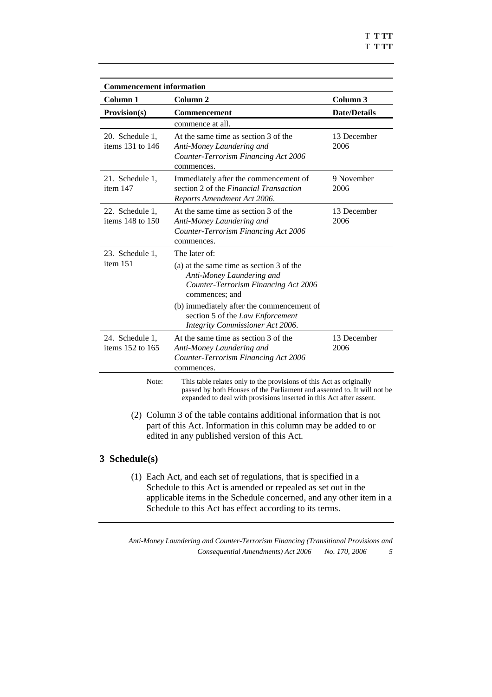| <b>Commencement information</b>         |                                                                                                                                                                                                                       |                     |
|-----------------------------------------|-----------------------------------------------------------------------------------------------------------------------------------------------------------------------------------------------------------------------|---------------------|
| Column <sub>1</sub>                     | Column <sub>2</sub>                                                                                                                                                                                                   | Column <sub>3</sub> |
| Provision(s)                            | <b>Commencement</b>                                                                                                                                                                                                   | <b>Date/Details</b> |
|                                         | commence at all.                                                                                                                                                                                                      |                     |
| 20. Schedule 1,<br>items 131 to 146     | At the same time as section 3 of the<br>Anti-Money Laundering and<br>Counter-Terrorism Financing Act 2006<br>commences.                                                                                               | 13 December<br>2006 |
| 21. Schedule 1,<br>item 147             | Immediately after the commencement of<br>section 2 of the Financial Transaction<br>Reports Amendment Act 2006.                                                                                                        | 9 November<br>2006  |
| 22. Schedule 1,<br>items $148$ to $150$ | At the same time as section 3 of the<br>Anti-Money Laundering and<br>Counter-Terrorism Financing Act 2006<br>commences.                                                                                               | 13 December<br>2006 |
| 23. Schedule 1,                         | The later of:                                                                                                                                                                                                         |                     |
| item 151                                | (a) at the same time as section 3 of the<br>Anti-Money Laundering and<br>Counter-Terrorism Financing Act 2006<br>commences; and                                                                                       |                     |
|                                         | (b) immediately after the commencement of<br>section 5 of the Law Enforcement<br>Integrity Commissioner Act 2006.                                                                                                     |                     |
| 24. Schedule 1,<br>items 152 to 165     | At the same time as section 3 of the<br>Anti-Money Laundering and<br>Counter-Terrorism Financing Act 2006<br>commences.                                                                                               | 13 December<br>2006 |
| Note:                                   | This table relates only to the provisions of this Act as originally<br>passed by both Houses of the Parliament and assented to. It will not be<br>expanded to deal with provisions inserted in this Act after assent. |                     |
|                                         | (2) Column 3 of the table contains additional information that is not<br>part of this Act. Information in this column may be added to or<br>edited in any published version of this Act.                              |                     |
| 3 Schedule(s)                           |                                                                                                                                                                                                                       |                     |

 (1) Each Act, and each set of regulations, that is specified in a Schedule to this Act is amended or repealed as set out in the applicable items in the Schedule concerned, and any other item in a Schedule to this Act has effect according to its terms.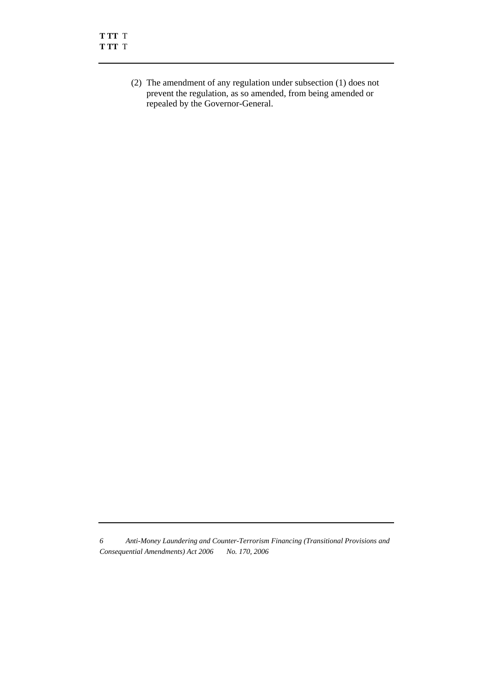(2) The amendment of any regulation under subsection (1) does not prevent the regulation, as so amended, from being amended or repealed by the Governor-General.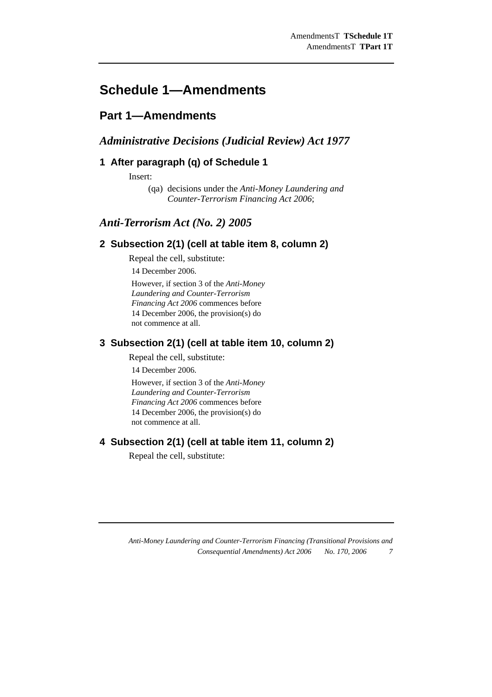## **Schedule 1—Amendments**

## **Part 1—Amendments**

## *Administrative Decisions (Judicial Review) Act 1977*

## **1 After paragraph (q) of Schedule 1**

Insert:

(qa) decisions under the *Anti-Money Laundering and Counter-Terrorism Financing Act 2006*;

## *Anti-Terrorism Act (No. 2) 2005*

## **2 Subsection 2(1) (cell at table item 8, column 2)**

Repeal the cell, substitute:

14 December 2006.

However, if section 3 of the *Anti-Money Laundering and Counter-Terrorism Financing Act 2006* commences before 14 December 2006, the provision(s) do not commence at all.

## **3 Subsection 2(1) (cell at table item 10, column 2)**

Repeal the cell, substitute:

14 December 2006.

However, if section 3 of the *Anti-Money Laundering and Counter-Terrorism Financing Act 2006* commences before 14 December 2006, the provision(s) do not commence at all.

## **4 Subsection 2(1) (cell at table item 11, column 2)**

Repeal the cell, substitute: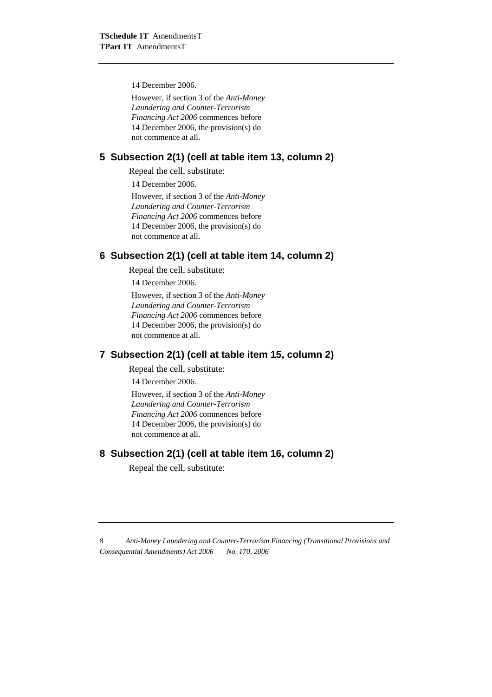14 December 2006.

However, if section 3 of the *Anti-Money Laundering and Counter-Terrorism Financing Act 2006* commences before 14 December 2006, the provision(s) do not commence at all.

## **5 Subsection 2(1) (cell at table item 13, column 2)**

Repeal the cell, substitute:

14 December 2006.

However, if section 3 of the *Anti-Money Laundering and Counter-Terrorism Financing Act 2006* commences before 14 December 2006, the provision(s) do not commence at all.

## **6 Subsection 2(1) (cell at table item 14, column 2)**

Repeal the cell, substitute:

14 December 2006.

However, if section 3 of the *Anti-Money Laundering and Counter-Terrorism Financing Act 2006* commences before 14 December 2006, the provision(s) do not commence at all.

### **7 Subsection 2(1) (cell at table item 15, column 2)**

Repeal the cell, substitute:

14 December 2006.

However, if section 3 of the *Anti-Money Laundering and Counter-Terrorism Financing Act 2006* commences before 14 December 2006, the provision(s) do not commence at all.

## **8 Subsection 2(1) (cell at table item 16, column 2)**

Repeal the cell, substitute: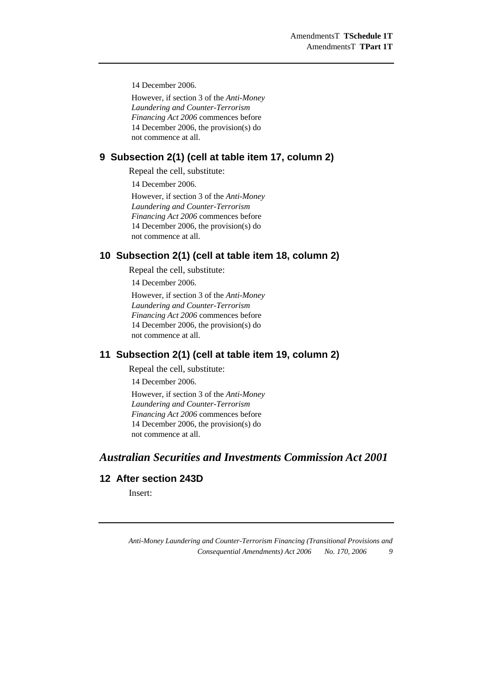14 December 2006.

However, if section 3 of the *Anti-Money Laundering and Counter-Terrorism Financing Act 2006* commences before 14 December 2006, the provision(s) do not commence at all.

#### **9 Subsection 2(1) (cell at table item 17, column 2)**

Repeal the cell, substitute:

14 December 2006.

However, if section 3 of the *Anti-Money Laundering and Counter-Terrorism Financing Act 2006* commences before 14 December 2006, the provision(s) do not commence at all.

### **10 Subsection 2(1) (cell at table item 18, column 2)**

Repeal the cell, substitute:

14 December 2006.

However, if section 3 of the *Anti-Money Laundering and Counter-Terrorism Financing Act 2006* commences before 14 December 2006, the provision(s) do not commence at all.

## **11 Subsection 2(1) (cell at table item 19, column 2)**

Repeal the cell, substitute:

14 December 2006.

However, if section 3 of the *Anti-Money Laundering and Counter-Terrorism Financing Act 2006* commences before 14 December 2006, the provision(s) do not commence at all.

## *Australian Securities and Investments Commission Act 2001*

## **12 After section 243D**

Insert: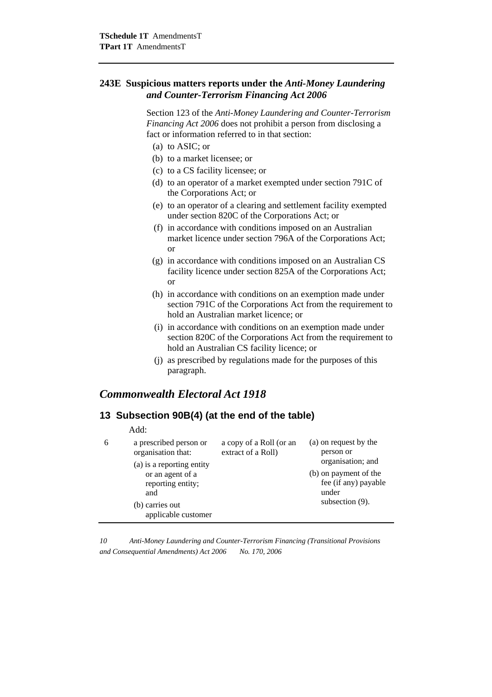#### **243E Suspicious matters reports under the** *Anti-Money Laundering and Counter-Terrorism Financing Act 2006*

 Section 123 of the *Anti-Money Laundering and Counter-Terrorism Financing Act 2006* does not prohibit a person from disclosing a fact or information referred to in that section:

- (a) to ASIC; or
- (b) to a market licensee; or
- (c) to a CS facility licensee; or
- (d) to an operator of a market exempted under section 791C of the Corporations Act; or
- (e) to an operator of a clearing and settlement facility exempted under section 820C of the Corporations Act; or
- (f) in accordance with conditions imposed on an Australian market licence under section 796A of the Corporations Act; or
- (g) in accordance with conditions imposed on an Australian CS facility licence under section 825A of the Corporations Act; or
- (h) in accordance with conditions on an exemption made under section 791C of the Corporations Act from the requirement to hold an Australian market licence; or
- (i) in accordance with conditions on an exemption made under section 820C of the Corporations Act from the requirement to hold an Australian CS facility licence; or
- (j) as prescribed by regulations made for the purposes of this paragraph.

## *Commonwealth Electoral Act 1918*

### **13 Subsection 90B(4) (at the end of the table)**

|   | Add:                                                                                                                                                                |                                               |                                                                                                                                         |
|---|---------------------------------------------------------------------------------------------------------------------------------------------------------------------|-----------------------------------------------|-----------------------------------------------------------------------------------------------------------------------------------------|
| 6 | a prescribed person or<br>organisation that:<br>(a) is a reporting entity<br>or an agent of a<br>reporting entity;<br>and<br>(b) carries out<br>applicable customer | a copy of a Roll (or an<br>extract of a Roll) | (a) on request by the<br>person or<br>organisation; and<br>(b) on payment of the<br>fee (if any) payable<br>under<br>subsection $(9)$ . |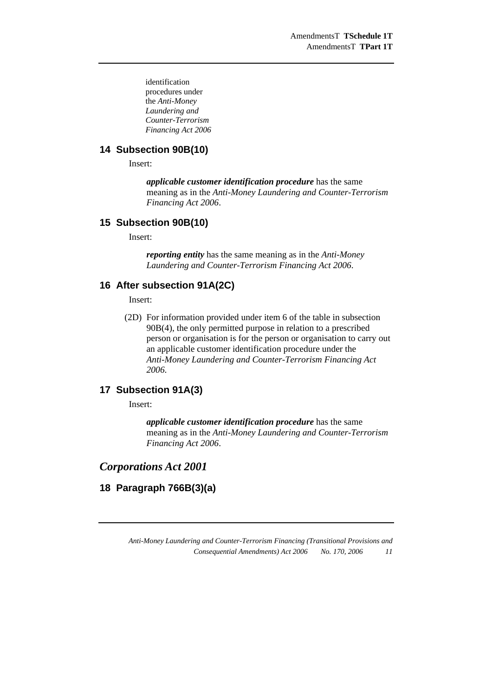identification procedures under the *Anti-Money Laundering and Counter-Terrorism Financing Act 2006*

## **14 Subsection 90B(10)**

Insert:

*applicable customer identification procedure* has the same meaning as in the *Anti-Money Laundering and Counter-Terrorism Financing Act 2006*.

#### **15 Subsection 90B(10)**

Insert:

*reporting entity* has the same meaning as in the *Anti-Money Laundering and Counter-Terrorism Financing Act 2006*.

#### **16 After subsection 91A(2C)**

Insert:

 (2D) For information provided under item 6 of the table in subsection 90B(4), the only permitted purpose in relation to a prescribed person or organisation is for the person or organisation to carry out an applicable customer identification procedure under the *Anti-Money Laundering and Counter-Terrorism Financing Act 2006*.

## **17 Subsection 91A(3)**

Insert:

*applicable customer identification procedure* has the same meaning as in the *Anti-Money Laundering and Counter-Terrorism Financing Act 2006*.

#### *Corporations Act 2001*

## **18 Paragraph 766B(3)(a)**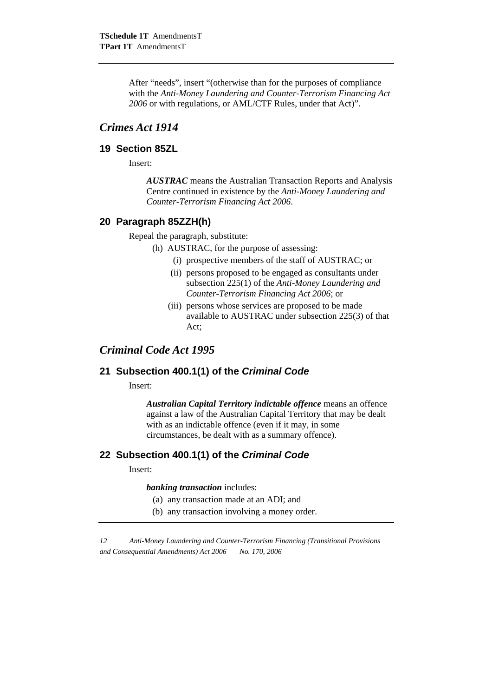After "needs", insert "(otherwise than for the purposes of compliance with the *Anti-Money Laundering and Counter-Terrorism Financing Act 2006* or with regulations, or AML/CTF Rules, under that Act)".

## *Crimes Act 1914*

#### **19 Section 85ZL**

Insert:

*AUSTRAC* means the Australian Transaction Reports and Analysis Centre continued in existence by the *Anti-Money Laundering and Counter-Terrorism Financing Act 2006*.

## **20 Paragraph 85ZZH(h)**

Repeal the paragraph, substitute:

- (h) AUSTRAC, for the purpose of assessing:
	- (i) prospective members of the staff of AUSTRAC; or
	- (ii) persons proposed to be engaged as consultants under subsection 225(1) of the *Anti-Money Laundering and Counter-Terrorism Financing Act 2006*; or
	- (iii) persons whose services are proposed to be made available to AUSTRAC under subsection 225(3) of that Act;

## *Criminal Code Act 1995*

#### **21 Subsection 400.1(1) of the** *Criminal Code*

Insert:

*Australian Capital Territory indictable offence* means an offence against a law of the Australian Capital Territory that may be dealt with as an indictable offence (even if it may, in some circumstances, be dealt with as a summary offence).

### **22 Subsection 400.1(1) of the** *Criminal Code*

Insert:

*banking transaction* includes:

- (a) any transaction made at an ADI; and
- (b) any transaction involving a money order.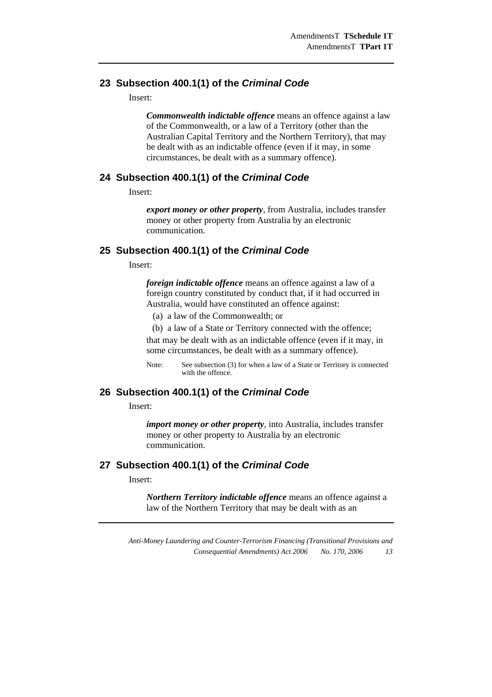#### **23 Subsection 400.1(1) of the** *Criminal Code*

Insert:

*Commonwealth indictable offence* means an offence against a law of the Commonwealth, or a law of a Territory (other than the Australian Capital Territory and the Northern Territory), that may be dealt with as an indictable offence (even if it may, in some circumstances, be dealt with as a summary offence).

#### **24 Subsection 400.1(1) of the** *Criminal Code*

Insert:

*export money or other property*, from Australia, includes transfer money or other property from Australia by an electronic communication.

#### **25 Subsection 400.1(1) of the** *Criminal Code*

Insert:

*foreign indictable offence* means an offence against a law of a foreign country constituted by conduct that, if it had occurred in Australia, would have constituted an offence against:

(a) a law of the Commonwealth; or

(b) a law of a State or Territory connected with the offence;

that may be dealt with as an indictable offence (even if it may, in some circumstances, be dealt with as a summary offence).

Note: See subsection (3) for when a law of a State or Territory is connected with the offence.

#### **26 Subsection 400.1(1) of the** *Criminal Code*

Insert:

*import money or other property*, into Australia, includes transfer money or other property to Australia by an electronic communication.

#### **27 Subsection 400.1(1) of the** *Criminal Code*

Insert:

*Northern Territory indictable offence* means an offence against a law of the Northern Territory that may be dealt with as an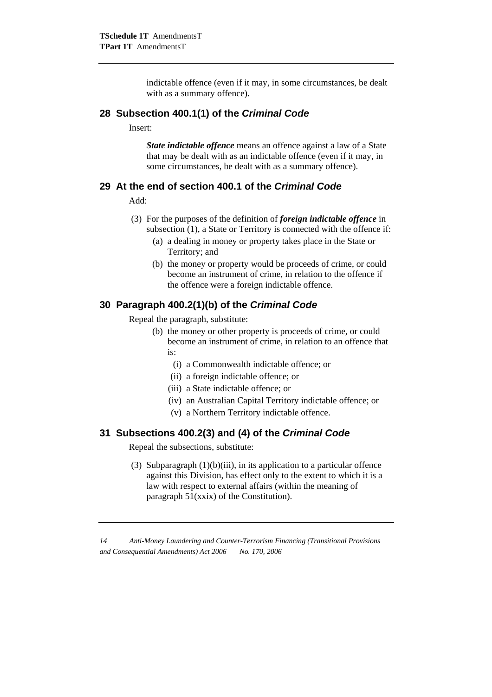indictable offence (even if it may, in some circumstances, be dealt with as a summary offence).

#### **28 Subsection 400.1(1) of the** *Criminal Code*

Insert:

*State indictable offence* means an offence against a law of a State that may be dealt with as an indictable offence (even if it may, in some circumstances, be dealt with as a summary offence).

### **29 At the end of section 400.1 of the** *Criminal Code*

Add:

- (3) For the purposes of the definition of *foreign indictable offence* in subsection (1), a State or Territory is connected with the offence if:
	- (a) a dealing in money or property takes place in the State or Territory; and
	- (b) the money or property would be proceeds of crime, or could become an instrument of crime, in relation to the offence if the offence were a foreign indictable offence.

## **30 Paragraph 400.2(1)(b) of the** *Criminal Code*

Repeal the paragraph, substitute:

- (b) the money or other property is proceeds of crime, or could become an instrument of crime, in relation to an offence that  $i_{S}$ :
	- (i) a Commonwealth indictable offence; or
	- (ii) a foreign indictable offence; or
	- (iii) a State indictable offence; or
	- (iv) an Australian Capital Territory indictable offence; or
	- (v) a Northern Territory indictable offence.

### **31 Subsections 400.2(3) and (4) of the** *Criminal Code*

Repeal the subsections, substitute:

(3) Subparagraph  $(1)(b)(iii)$ , in its application to a particular offence against this Division, has effect only to the extent to which it is a law with respect to external affairs (within the meaning of paragraph 51(xxix) of the Constitution).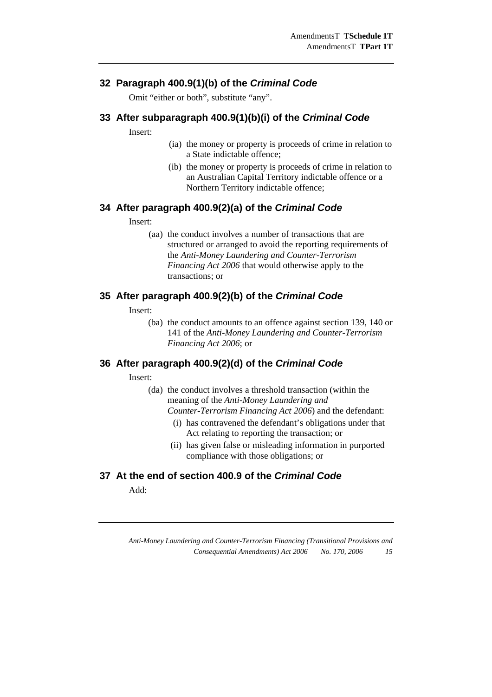## **32 Paragraph 400.9(1)(b) of the** *Criminal Code*

Omit "either or both", substitute "any".

#### **33 After subparagraph 400.9(1)(b)(i) of the** *Criminal Code*

Insert:

- (ia) the money or property is proceeds of crime in relation to a State indictable offence;
- (ib) the money or property is proceeds of crime in relation to an Australian Capital Territory indictable offence or a Northern Territory indictable offence;

#### **34 After paragraph 400.9(2)(a) of the** *Criminal Code*

Insert:

(aa) the conduct involves a number of transactions that are structured or arranged to avoid the reporting requirements of the *Anti-Money Laundering and Counter-Terrorism Financing Act 2006* that would otherwise apply to the transactions; or

### **35 After paragraph 400.9(2)(b) of the** *Criminal Code*

Insert:

(ba) the conduct amounts to an offence against section 139, 140 or 141 of the *Anti-Money Laundering and Counter-Terrorism Financing Act 2006*; or

### **36 After paragraph 400.9(2)(d) of the** *Criminal Code*

Insert:

- (da) the conduct involves a threshold transaction (within the meaning of the *Anti-Money Laundering and Counter-Terrorism Financing Act 2006*) and the defendant:
	- (i) has contravened the defendant's obligations under that Act relating to reporting the transaction; or
	- (ii) has given false or misleading information in purported compliance with those obligations; or

## **37 At the end of section 400.9 of the** *Criminal Code*

Add: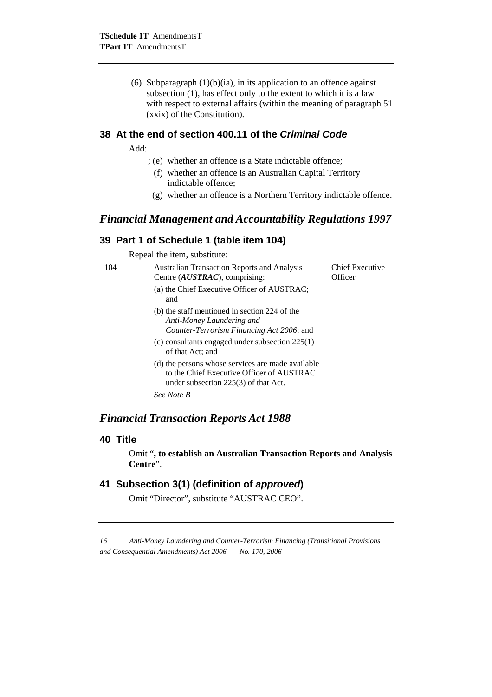(6) Subparagraph  $(1)(b)(ia)$ , in its application to an offence against subsection (1), has effect only to the extent to which it is a law with respect to external affairs (within the meaning of paragraph 51 (xxix) of the Constitution).

## **38 At the end of section 400.11 of the** *Criminal Code*

Add:

- ; (e) whether an offence is a State indictable offence;
	- (f) whether an offence is an Australian Capital Territory indictable offence;
- (g) whether an offence is a Northern Territory indictable offence.

#### *Financial Management and Accountability Regulations 1997*

## **39 Part 1 of Schedule 1 (table item 104)**

Repeal the item, substitute:

| 104 | Australian Transaction Reports and Analysis<br>Centre $(AUSTRAC)$ , comprising:                                                          | Chief Executive<br>Officer |
|-----|------------------------------------------------------------------------------------------------------------------------------------------|----------------------------|
|     | (a) the Chief Executive Officer of AUSTRAC;<br>and                                                                                       |                            |
|     | (b) the staff mentioned in section 224 of the<br>Anti-Money Laundering and<br>Counter-Terrorism Financing Act 2006; and                  |                            |
|     | (c) consultants engaged under subsection $225(1)$<br>of that Act; and                                                                    |                            |
|     | (d) the persons whose services are made available<br>to the Chief Executive Officer of AUSTRAC<br>under subsection $225(3)$ of that Act. |                            |
|     | See Note B                                                                                                                               |                            |

## *Financial Transaction Reports Act 1988*

#### **40 Title**

Omit "**, to establish an Australian Transaction Reports and Analysis Centre**".

## **41 Subsection 3(1) (definition of** *approved***)**

Omit "Director", substitute "AUSTRAC CEO".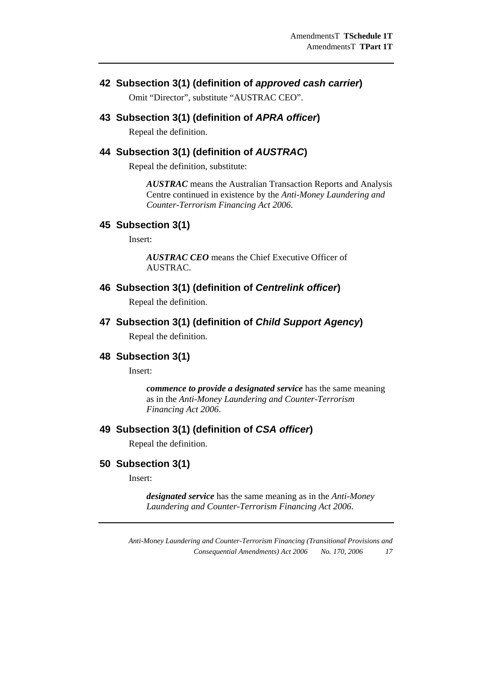## **42 Subsection 3(1) (definition of** *approved cash carrier***)**

Omit "Director", substitute "AUSTRAC CEO".

## **43 Subsection 3(1) (definition of** *APRA officer***)**

Repeal the definition.

## **44 Subsection 3(1) (definition of** *AUSTRAC***)**

Repeal the definition, substitute:

*AUSTRAC* means the Australian Transaction Reports and Analysis Centre continued in existence by the *Anti-Money Laundering and Counter-Terrorism Financing Act 2006*.

#### **45 Subsection 3(1)**

Insert:

*AUSTRAC CEO* means the Chief Executive Officer of AUSTRAC.

#### **46 Subsection 3(1) (definition of** *Centrelink officer***)**

Repeal the definition.

## **47 Subsection 3(1) (definition of** *Child Support Agency***)**

Repeal the definition.

#### **48 Subsection 3(1)**

Insert:

*commence to provide a designated service* has the same meaning as in the *Anti-Money Laundering and Counter-Terrorism Financing Act 2006*.

## **49 Subsection 3(1) (definition of** *CSA officer***)**

Repeal the definition.

#### **50 Subsection 3(1)**

Insert:

*designated service* has the same meaning as in the *Anti-Money Laundering and Counter-Terrorism Financing Act 2006*.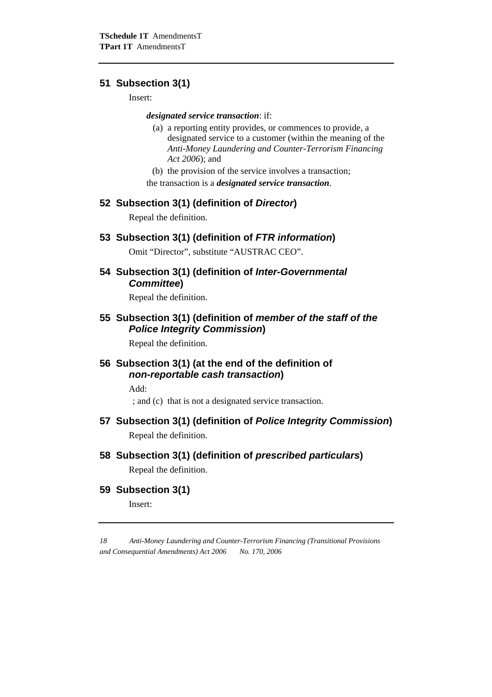## **51 Subsection 3(1)**

Insert:

#### *designated service transaction*: if:

- (a) a reporting entity provides, or commences to provide, a designated service to a customer (within the meaning of the *Anti-Money Laundering and Counter-Terrorism Financing Act 2006*); and
- (b) the provision of the service involves a transaction; the transaction is a *designated service transaction*.

#### **52 Subsection 3(1) (definition of** *Director***)**

Repeal the definition.

#### **53 Subsection 3(1) (definition of** *FTR information***)**

Omit "Director", substitute "AUSTRAC CEO".

### **54 Subsection 3(1) (definition of** *Inter-Governmental Committee***)**

Repeal the definition.

## **55 Subsection 3(1) (definition of** *member of the staff of the Police Integrity Commission***)**

Repeal the definition.

## **56 Subsection 3(1) (at the end of the definition of**  *non-reportable cash transaction***)**

Add:

; and (c) that is not a designated service transaction.

## **57 Subsection 3(1) (definition of** *Police Integrity Commission***)**

Repeal the definition.

## **58 Subsection 3(1) (definition of** *prescribed particulars***)**

Repeal the definition.

**59 Subsection 3(1)** 

Insert: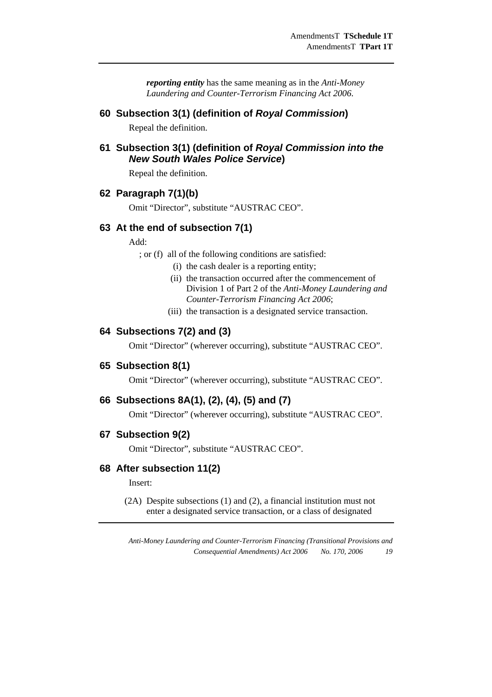*reporting entity* has the same meaning as in the *Anti-Money Laundering and Counter-Terrorism Financing Act 2006*.

#### **60 Subsection 3(1) (definition of** *Royal Commission***)**

Repeal the definition.

## **61 Subsection 3(1) (definition of** *Royal Commission into the New South Wales Police Service***)**

Repeal the definition.

#### **62 Paragraph 7(1)(b)**

Omit "Director", substitute "AUSTRAC CEO".

### **63 At the end of subsection 7(1)**

Add:

; or (f) all of the following conditions are satisfied:

- (i) the cash dealer is a reporting entity;
- (ii) the transaction occurred after the commencement of Division 1 of Part 2 of the *Anti-Money Laundering and Counter-Terrorism Financing Act 2006*;
- (iii) the transaction is a designated service transaction.

#### **64 Subsections 7(2) and (3)**

Omit "Director" (wherever occurring), substitute "AUSTRAC CEO".

#### **65 Subsection 8(1)**

Omit "Director" (wherever occurring), substitute "AUSTRAC CEO".

#### **66 Subsections 8A(1), (2), (4), (5) and (7)**

Omit "Director" (wherever occurring), substitute "AUSTRAC CEO".

#### **67 Subsection 9(2)**

Omit "Director", substitute "AUSTRAC CEO".

#### **68 After subsection 11(2)**

Insert:

 (2A) Despite subsections (1) and (2), a financial institution must not enter a designated service transaction, or a class of designated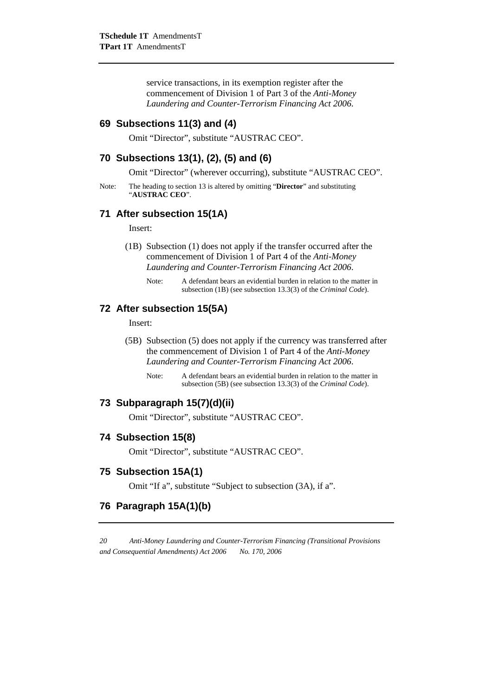service transactions, in its exemption register after the commencement of Division 1 of Part 3 of the *Anti-Money Laundering and Counter-Terrorism Financing Act 2006*.

## **69 Subsections 11(3) and (4)**

Omit "Director", substitute "AUSTRAC CEO".

### **70 Subsections 13(1), (2), (5) and (6)**

Omit "Director" (wherever occurring), substitute "AUSTRAC CEO".

Note: The heading to section 13 is altered by omitting "**Director**" and substituting "**AUSTRAC CEO**".

#### **71 After subsection 15(1A)**

Insert:

- (1B) Subsection (1) does not apply if the transfer occurred after the commencement of Division 1 of Part 4 of the *Anti-Money Laundering and Counter-Terrorism Financing Act 2006*.
	- Note: A defendant bears an evidential burden in relation to the matter in subsection (1B) (see subsection 13.3(3) of the *Criminal Code*).

#### **72 After subsection 15(5A)**

Insert:

- (5B) Subsection (5) does not apply if the currency was transferred after the commencement of Division 1 of Part 4 of the *Anti-Money Laundering and Counter-Terrorism Financing Act 2006*.
	- Note: A defendant bears an evidential burden in relation to the matter in subsection (5B) (see subsection 13.3(3) of the *Criminal Code*).

#### **73 Subparagraph 15(7)(d)(ii)**

Omit "Director", substitute "AUSTRAC CEO".

#### **74 Subsection 15(8)**

Omit "Director", substitute "AUSTRAC CEO".

#### **75 Subsection 15A(1)**

Omit "If a", substitute "Subject to subsection (3A), if a".

## **76 Paragraph 15A(1)(b)**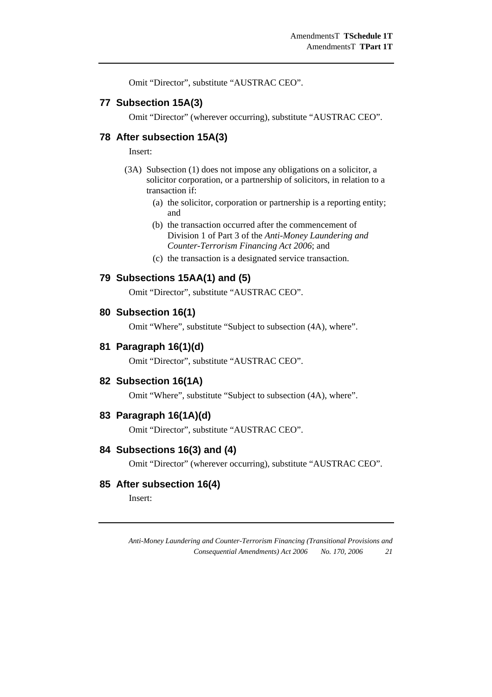Omit "Director", substitute "AUSTRAC CEO".

#### **77 Subsection 15A(3)**

Omit "Director" (wherever occurring), substitute "AUSTRAC CEO".

### **78 After subsection 15A(3)**

Insert:

- (3A) Subsection (1) does not impose any obligations on a solicitor, a solicitor corporation, or a partnership of solicitors, in relation to a transaction if:
	- (a) the solicitor, corporation or partnership is a reporting entity; and
	- (b) the transaction occurred after the commencement of Division 1 of Part 3 of the *Anti-Money Laundering and Counter-Terrorism Financing Act 2006*; and
	- (c) the transaction is a designated service transaction.

#### **79 Subsections 15AA(1) and (5)**

Omit "Director", substitute "AUSTRAC CEO".

#### **80 Subsection 16(1)**

Omit "Where", substitute "Subject to subsection (4A), where".

#### **81 Paragraph 16(1)(d)**

Omit "Director", substitute "AUSTRAC CEO".

#### **82 Subsection 16(1A)**

Omit "Where", substitute "Subject to subsection (4A), where".

#### **83 Paragraph 16(1A)(d)**

Omit "Director", substitute "AUSTRAC CEO".

## **84 Subsections 16(3) and (4)**

Omit "Director" (wherever occurring), substitute "AUSTRAC CEO".

## **85 After subsection 16(4)**

Insert: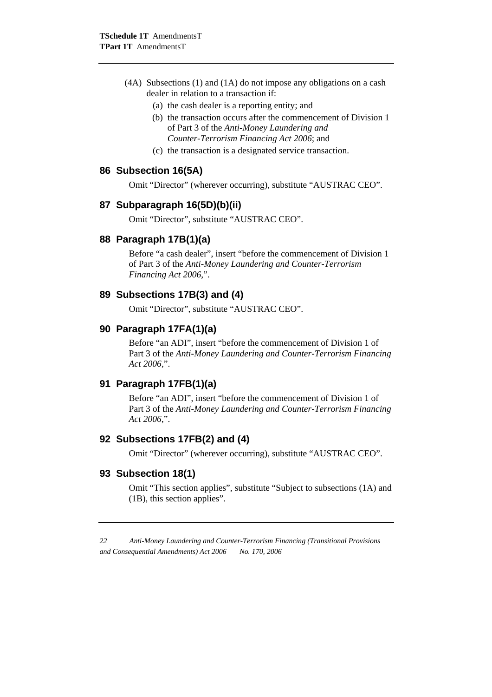- (4A) Subsections (1) and (1A) do not impose any obligations on a cash dealer in relation to a transaction if:
	- (a) the cash dealer is a reporting entity; and
	- (b) the transaction occurs after the commencement of Division 1 of Part 3 of the *Anti-Money Laundering and Counter-Terrorism Financing Act 2006*; and
	- (c) the transaction is a designated service transaction.

#### **86 Subsection 16(5A)**

Omit "Director" (wherever occurring), substitute "AUSTRAC CEO".

#### **87 Subparagraph 16(5D)(b)(ii)**

Omit "Director", substitute "AUSTRAC CEO".

#### **88 Paragraph 17B(1)(a)**

Before "a cash dealer", insert "before the commencement of Division 1 of Part 3 of the *Anti-Money Laundering and Counter-Terrorism Financing Act 2006*,".

#### **89 Subsections 17B(3) and (4)**

Omit "Director", substitute "AUSTRAC CEO".

#### **90 Paragraph 17FA(1)(a)**

Before "an ADI", insert "before the commencement of Division 1 of Part 3 of the *Anti-Money Laundering and Counter-Terrorism Financing Act 2006*,".

#### **91 Paragraph 17FB(1)(a)**

Before "an ADI", insert "before the commencement of Division 1 of Part 3 of the *Anti-Money Laundering and Counter-Terrorism Financing Act 2006*,".

## **92 Subsections 17FB(2) and (4)**

Omit "Director" (wherever occurring), substitute "AUSTRAC CEO".

#### **93 Subsection 18(1)**

Omit "This section applies", substitute "Subject to subsections (1A) and (1B), this section applies".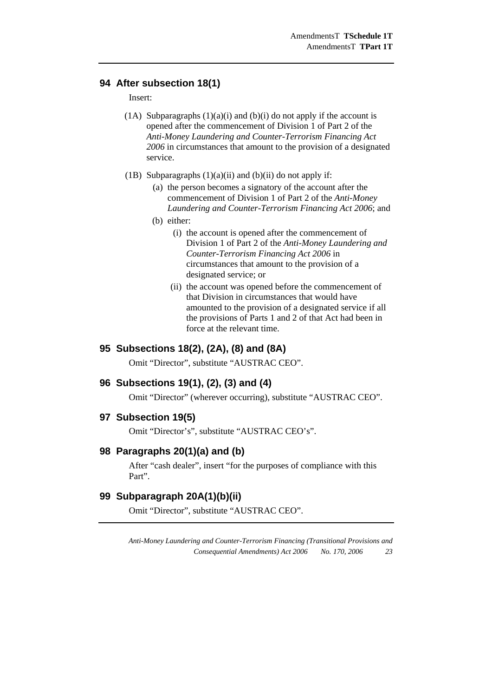## **94 After subsection 18(1)**

#### Insert:

- (1A) Subparagraphs  $(1)(a)(i)$  and  $(b)(i)$  do not apply if the account is opened after the commencement of Division 1 of Part 2 of the *Anti-Money Laundering and Counter-Terrorism Financing Act 2006* in circumstances that amount to the provision of a designated service.
- (1B) Subparagraphs  $(1)(a)(ii)$  and  $(b)(ii)$  do not apply if:
	- (a) the person becomes a signatory of the account after the commencement of Division 1 of Part 2 of the *Anti-Money Laundering and Counter-Terrorism Financing Act 2006*; and
	- (b) either:
		- (i) the account is opened after the commencement of Division 1 of Part 2 of the *Anti-Money Laundering and Counter-Terrorism Financing Act 2006* in circumstances that amount to the provision of a designated service; or
		- (ii) the account was opened before the commencement of that Division in circumstances that would have amounted to the provision of a designated service if all the provisions of Parts 1 and 2 of that Act had been in force at the relevant time.

## **95 Subsections 18(2), (2A), (8) and (8A)**

Omit "Director", substitute "AUSTRAC CEO".

#### **96 Subsections 19(1), (2), (3) and (4)**

Omit "Director" (wherever occurring), substitute "AUSTRAC CEO".

#### **97 Subsection 19(5)**

Omit "Director's", substitute "AUSTRAC CEO's".

#### **98 Paragraphs 20(1)(a) and (b)**

After "cash dealer", insert "for the purposes of compliance with this Part".

## **99 Subparagraph 20A(1)(b)(ii)**

Omit "Director", substitute "AUSTRAC CEO".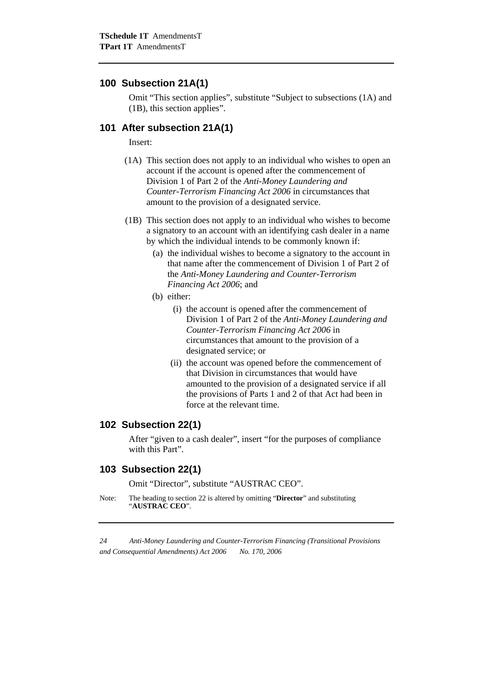#### **100 Subsection 21A(1)**

Omit "This section applies", substitute "Subject to subsections (1A) and (1B), this section applies".

#### **101 After subsection 21A(1)**

Insert:

- (1A) This section does not apply to an individual who wishes to open an account if the account is opened after the commencement of Division 1 of Part 2 of the *Anti-Money Laundering and Counter-Terrorism Financing Act 2006* in circumstances that amount to the provision of a designated service.
- (1B) This section does not apply to an individual who wishes to become a signatory to an account with an identifying cash dealer in a name by which the individual intends to be commonly known if:
	- (a) the individual wishes to become a signatory to the account in that name after the commencement of Division 1 of Part 2 of the *Anti-Money Laundering and Counter-Terrorism Financing Act 2006*; and
	- (b) either:
		- (i) the account is opened after the commencement of Division 1 of Part 2 of the *Anti-Money Laundering and Counter-Terrorism Financing Act 2006* in circumstances that amount to the provision of a designated service; or
		- (ii) the account was opened before the commencement of that Division in circumstances that would have amounted to the provision of a designated service if all the provisions of Parts 1 and 2 of that Act had been in force at the relevant time.

#### **102 Subsection 22(1)**

After "given to a cash dealer", insert "for the purposes of compliance with this Part".

#### **103 Subsection 22(1)**

Omit "Director", substitute "AUSTRAC CEO".

Note: The heading to section 22 is altered by omitting "**Director**" and substituting "**AUSTRAC CEO**".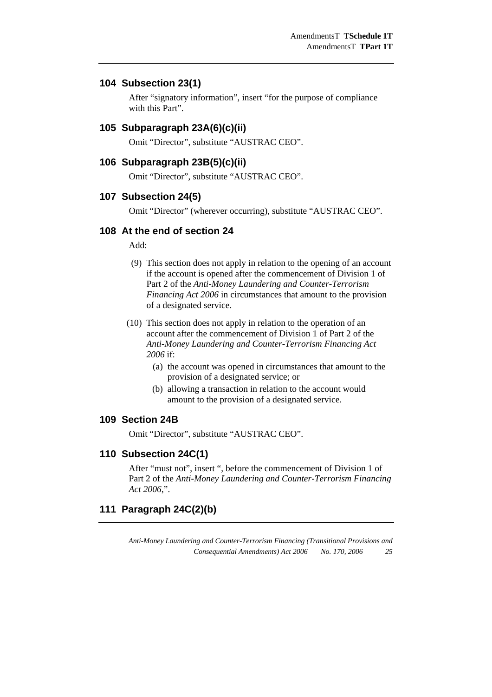#### **104 Subsection 23(1)**

After "signatory information", insert "for the purpose of compliance with this Part".

#### **105 Subparagraph 23A(6)(c)(ii)**

Omit "Director", substitute "AUSTRAC CEO".

#### **106 Subparagraph 23B(5)(c)(ii)**

Omit "Director", substitute "AUSTRAC CEO".

#### **107 Subsection 24(5)**

Omit "Director" (wherever occurring), substitute "AUSTRAC CEO".

## **108 At the end of section 24**

Add:

- (9) This section does not apply in relation to the opening of an account if the account is opened after the commencement of Division 1 of Part 2 of the *Anti-Money Laundering and Counter-Terrorism Financing Act 2006* in circumstances that amount to the provision of a designated service.
- (10) This section does not apply in relation to the operation of an account after the commencement of Division 1 of Part 2 of the *Anti-Money Laundering and Counter-Terrorism Financing Act 2006* if:
	- (a) the account was opened in circumstances that amount to the provision of a designated service; or
	- (b) allowing a transaction in relation to the account would amount to the provision of a designated service.

#### **109 Section 24B**

Omit "Director", substitute "AUSTRAC CEO".

#### **110 Subsection 24C(1)**

After "must not", insert ", before the commencement of Division 1 of Part 2 of the *Anti-Money Laundering and Counter-Terrorism Financing Act 2006*,".

## **111 Paragraph 24C(2)(b)**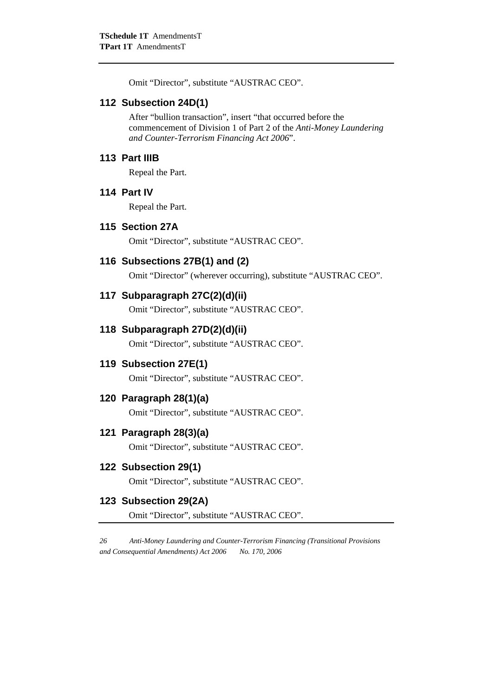Omit "Director", substitute "AUSTRAC CEO".

#### **112 Subsection 24D(1)**

After "bullion transaction", insert "that occurred before the commencement of Division 1 of Part 2 of the *Anti-Money Laundering and Counter-Terrorism Financing Act 2006*".

#### **113 Part IIIB**

Repeal the Part.

## **114 Part IV**

Repeal the Part.

#### **115 Section 27A**

Omit "Director", substitute "AUSTRAC CEO".

## **116 Subsections 27B(1) and (2)**

Omit "Director" (wherever occurring), substitute "AUSTRAC CEO".

#### **117 Subparagraph 27C(2)(d)(ii)**

Omit "Director", substitute "AUSTRAC CEO".

#### **118 Subparagraph 27D(2)(d)(ii)**

Omit "Director", substitute "AUSTRAC CEO".

#### **119 Subsection 27E(1)**

Omit "Director", substitute "AUSTRAC CEO".

#### **120 Paragraph 28(1)(a)**

Omit "Director", substitute "AUSTRAC CEO".

## **121 Paragraph 28(3)(a)**

Omit "Director", substitute "AUSTRAC CEO".

## **122 Subsection 29(1)**

Omit "Director", substitute "AUSTRAC CEO".

## **123 Subsection 29(2A)**

Omit "Director", substitute "AUSTRAC CEO".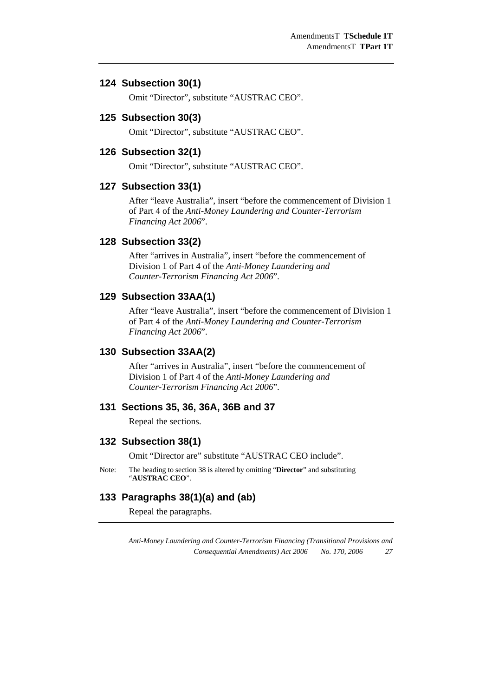#### **124 Subsection 30(1)**

Omit "Director", substitute "AUSTRAC CEO".

#### **125 Subsection 30(3)**

Omit "Director", substitute "AUSTRAC CEO".

#### **126 Subsection 32(1)**

Omit "Director", substitute "AUSTRAC CEO".

#### **127 Subsection 33(1)**

After "leave Australia", insert "before the commencement of Division 1 of Part 4 of the *Anti-Money Laundering and Counter-Terrorism Financing Act 2006*".

#### **128 Subsection 33(2)**

After "arrives in Australia", insert "before the commencement of Division 1 of Part 4 of the *Anti-Money Laundering and Counter-Terrorism Financing Act 2006*".

#### **129 Subsection 33AA(1)**

After "leave Australia", insert "before the commencement of Division 1 of Part 4 of the *Anti-Money Laundering and Counter-Terrorism Financing Act 2006*".

## **130 Subsection 33AA(2)**

After "arrives in Australia", insert "before the commencement of Division 1 of Part 4 of the *Anti-Money Laundering and Counter-Terrorism Financing Act 2006*".

## **131 Sections 35, 36, 36A, 36B and 37**

Repeal the sections.

#### **132 Subsection 38(1)**

Omit "Director are" substitute "AUSTRAC CEO include".

Note: The heading to section 38 is altered by omitting "**Director**" and substituting "**AUSTRAC CEO**".

## **133 Paragraphs 38(1)(a) and (ab)**

Repeal the paragraphs.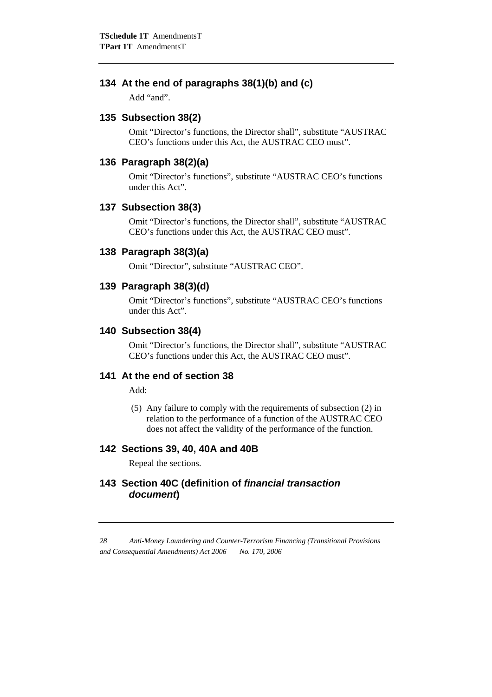## **134 At the end of paragraphs 38(1)(b) and (c)**

Add "and".

## **135 Subsection 38(2)**

Omit "Director's functions, the Director shall", substitute "AUSTRAC CEO's functions under this Act, the AUSTRAC CEO must".

#### **136 Paragraph 38(2)(a)**

Omit "Director's functions", substitute "AUSTRAC CEO's functions under this Act".

#### **137 Subsection 38(3)**

Omit "Director's functions, the Director shall", substitute "AUSTRAC CEO's functions under this Act, the AUSTRAC CEO must".

#### **138 Paragraph 38(3)(a)**

Omit "Director", substitute "AUSTRAC CEO".

## **139 Paragraph 38(3)(d)**

Omit "Director's functions", substitute "AUSTRAC CEO's functions under this Act".

## **140 Subsection 38(4)**

Omit "Director's functions, the Director shall", substitute "AUSTRAC CEO's functions under this Act, the AUSTRAC CEO must".

## **141 At the end of section 38**

Add:

 (5) Any failure to comply with the requirements of subsection (2) in relation to the performance of a function of the AUSTRAC CEO does not affect the validity of the performance of the function.

## **142 Sections 39, 40, 40A and 40B**

Repeal the sections.

## **143 Section 40C (definition of** *financial transaction document***)**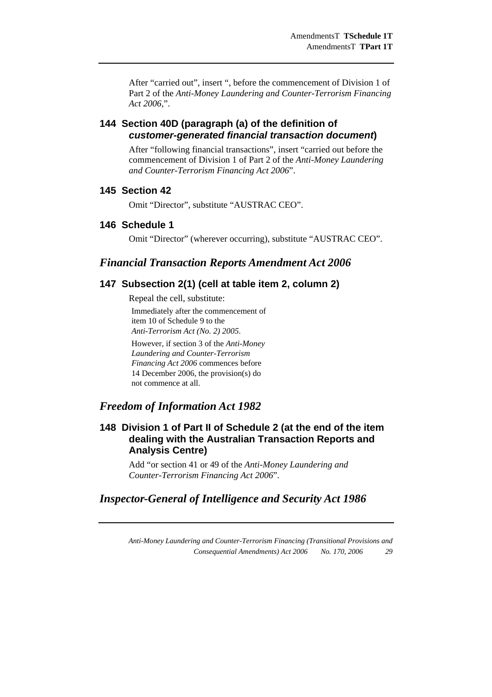After "carried out", insert ", before the commencement of Division 1 of Part 2 of the *Anti-Money Laundering and Counter-Terrorism Financing Act 2006*,".

## **144 Section 40D (paragraph (a) of the definition of**  *customer-generated financial transaction document***)**

After "following financial transactions", insert "carried out before the commencement of Division 1 of Part 2 of the *Anti-Money Laundering and Counter-Terrorism Financing Act 2006*".

## **145 Section 42**

Omit "Director", substitute "AUSTRAC CEO".

## **146 Schedule 1**

Omit "Director" (wherever occurring), substitute "AUSTRAC CEO".

## *Financial Transaction Reports Amendment Act 2006*

### **147 Subsection 2(1) (cell at table item 2, column 2)**

Repeal the cell, substitute: Immediately after the commencement of item 10 of Schedule 9 to the *Anti-Terrorism Act (No. 2) 2005*.

However, if section 3 of the *Anti-Money Laundering and Counter-Terrorism Financing Act 2006* commences before 14 December 2006, the provision(s) do not commence at all.

## *Freedom of Information Act 1982*

## **148 Division 1 of Part II of Schedule 2 (at the end of the item dealing with the Australian Transaction Reports and Analysis Centre)**

Add "or section 41 or 49 of the *Anti-Money Laundering and Counter-Terrorism Financing Act 2006*".

## *Inspector-General of Intelligence and Security Act 1986*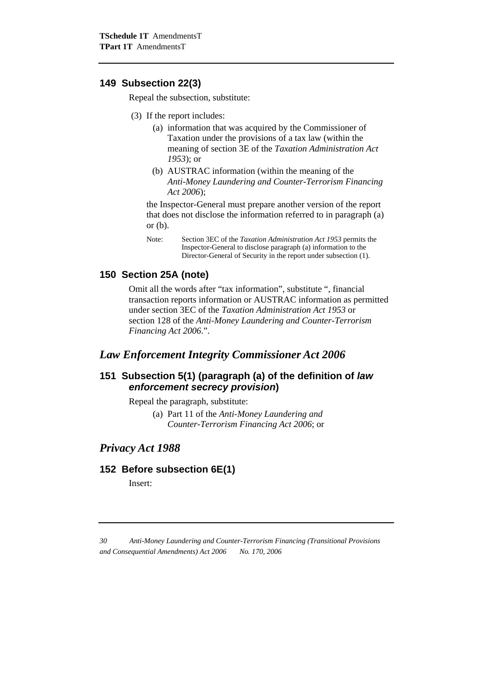#### **149 Subsection 22(3)**

Repeal the subsection, substitute:

- (3) If the report includes:
	- (a) information that was acquired by the Commissioner of Taxation under the provisions of a tax law (within the meaning of section 3E of the *Taxation Administration Act 1953*); or
	- (b) AUSTRAC information (within the meaning of the *Anti-Money Laundering and Counter-Terrorism Financing Act 2006*);

the Inspector-General must prepare another version of the report that does not disclose the information referred to in paragraph (a) or (b).

### **150 Section 25A (note)**

Omit all the words after "tax information", substitute ", financial transaction reports information or AUSTRAC information as permitted under section 3EC of the *Taxation Administration Act 1953* or section 128 of the *Anti-Money Laundering and Counter-Terrorism Financing Act 2006*.".

### *Law Enforcement Integrity Commissioner Act 2006*

## **151 Subsection 5(1) (paragraph (a) of the definition of** *law enforcement secrecy provision***)**

Repeal the paragraph, substitute:

(a) Part 11 of the *Anti-Money Laundering and Counter-Terrorism Financing Act 2006*; or

## *Privacy Act 1988*

#### **152 Before subsection 6E(1)**

Insert:

Note: Section 3EC of the *Taxation Administration Act 1953* permits the Inspector-General to disclose paragraph (a) information to the Director-General of Security in the report under subsection (1).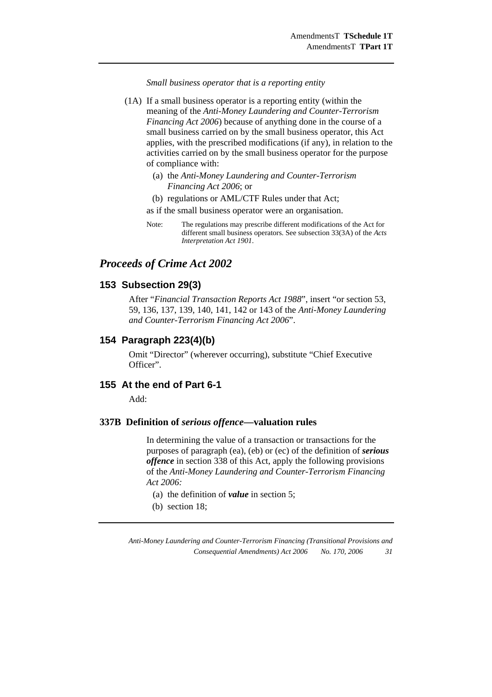*Small business operator that is a reporting entity* 

- (1A) If a small business operator is a reporting entity (within the meaning of the *Anti-Money Laundering and Counter-Terrorism Financing Act 2006*) because of anything done in the course of a small business carried on by the small business operator, this Act applies, with the prescribed modifications (if any), in relation to the activities carried on by the small business operator for the purpose of compliance with:
	- (a) the *Anti-Money Laundering and Counter-Terrorism Financing Act 2006*; or
	- (b) regulations or AML/CTF Rules under that Act;

as if the small business operator were an organisation.

Note: The regulations may prescribe different modifications of the Act for different small business operators. See subsection 33(3A) of the *Acts Interpretation Act 1901*.

## *Proceeds of Crime Act 2002*

#### **153 Subsection 29(3)**

After "*Financial Transaction Reports Act 1988*", insert "or section 53, 59, 136, 137, 139, 140, 141, 142 or 143 of the *Anti-Money Laundering and Counter-Terrorism Financing Act 2006*".

#### **154 Paragraph 223(4)(b)**

Omit "Director" (wherever occurring), substitute "Chief Executive Officer".

#### **155 At the end of Part 6-1**

Add:

#### **337B Definition of** *serious offence***—valuation rules**

 In determining the value of a transaction or transactions for the purposes of paragraph (ea), (eb) or (ec) of the definition of *serious offence* in section 338 of this Act, apply the following provisions of the *Anti-Money Laundering and Counter-Terrorism Financing Act 2006:* 

- (a) the definition of *value* in section 5;
- (b) section 18;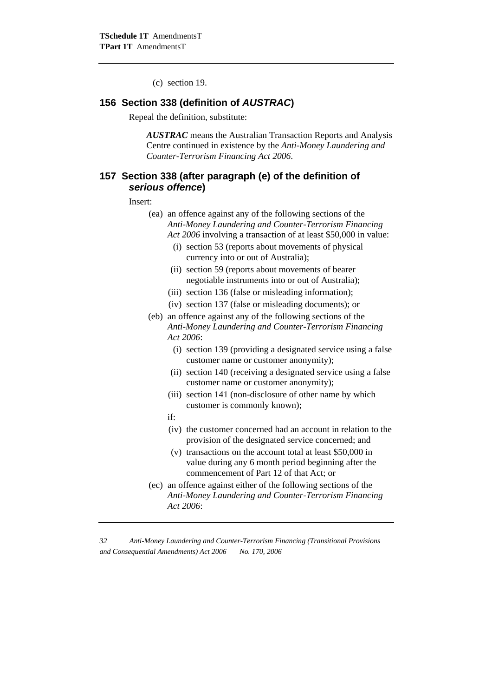(c) section 19.

#### **156 Section 338 (definition of** *AUSTRAC***)**

Repeal the definition, substitute:

*AUSTRAC* means the Australian Transaction Reports and Analysis Centre continued in existence by the *Anti-Money Laundering and Counter-Terrorism Financing Act 2006*.

## **157 Section 338 (after paragraph (e) of the definition of**  *serious offence***)**

Insert:

- (ea) an offence against any of the following sections of the *Anti-Money Laundering and Counter-Terrorism Financing Act 2006* involving a transaction of at least \$50,000 in value:
	- (i) section 53 (reports about movements of physical currency into or out of Australia);
	- (ii) section 59 (reports about movements of bearer negotiable instruments into or out of Australia);
	- (iii) section 136 (false or misleading information);
	- (iv) section 137 (false or misleading documents); or
- (eb) an offence against any of the following sections of the *Anti-Money Laundering and Counter-Terrorism Financing Act 2006*:
	- (i) section 139 (providing a designated service using a false customer name or customer anonymity);
	- (ii) section 140 (receiving a designated service using a false customer name or customer anonymity);
	- (iii) section 141 (non-disclosure of other name by which customer is commonly known);
	- if:
	- (iv) the customer concerned had an account in relation to the provision of the designated service concerned; and
	- (v) transactions on the account total at least \$50,000 in value during any 6 month period beginning after the commencement of Part 12 of that Act; or
- (ec) an offence against either of the following sections of the *Anti-Money Laundering and Counter-Terrorism Financing Act 2006*: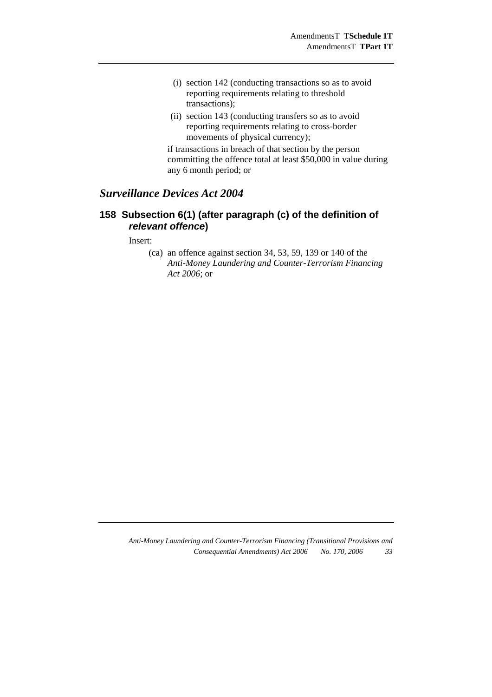- (i) section 142 (conducting transactions so as to avoid reporting requirements relating to threshold transactions);
- (ii) section 143 (conducting transfers so as to avoid reporting requirements relating to cross-border movements of physical currency);

 if transactions in breach of that section by the person committing the offence total at least \$50,000 in value during any 6 month period; or

## *Surveillance Devices Act 2004*

## **158 Subsection 6(1) (after paragraph (c) of the definition of**  *relevant offence***)**

Insert:

(ca) an offence against section 34, 53, 59, 139 or 140 of the *Anti-Money Laundering and Counter-Terrorism Financing Act 2006*; or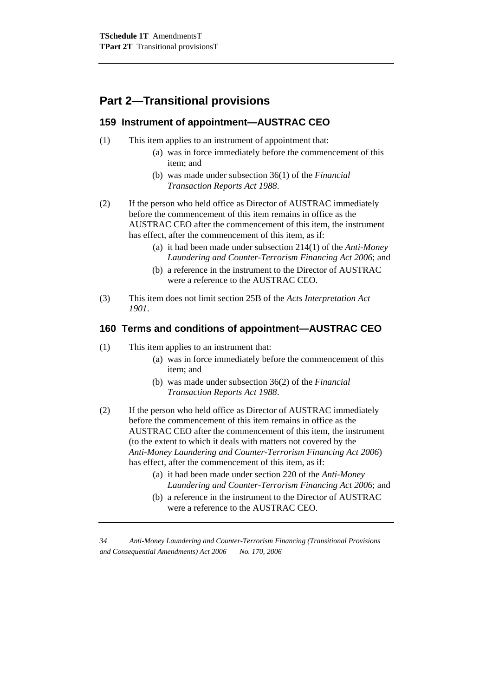## **Part 2—Transitional provisions**

## **159 Instrument of appointment—AUSTRAC CEO**

- (1) This item applies to an instrument of appointment that:
	- (a) was in force immediately before the commencement of this item; and
	- (b) was made under subsection 36(1) of the *Financial Transaction Reports Act 1988*.
- (2) If the person who held office as Director of AUSTRAC immediately before the commencement of this item remains in office as the AUSTRAC CEO after the commencement of this item, the instrument has effect, after the commencement of this item, as if:
	- (a) it had been made under subsection 214(1) of the *Anti-Money Laundering and Counter-Terrorism Financing Act 2006*; and
	- (b) a reference in the instrument to the Director of AUSTRAC were a reference to the AUSTRAC CEO.
- (3) This item does not limit section 25B of the *Acts Interpretation Act 1901*.

## **160 Terms and conditions of appointment—AUSTRAC CEO**

- (1) This item applies to an instrument that:
	- (a) was in force immediately before the commencement of this item; and
	- (b) was made under subsection 36(2) of the *Financial Transaction Reports Act 1988*.
- (2) If the person who held office as Director of AUSTRAC immediately before the commencement of this item remains in office as the AUSTRAC CEO after the commencement of this item, the instrument (to the extent to which it deals with matters not covered by the *Anti-Money Laundering and Counter-Terrorism Financing Act 2006*) has effect, after the commencement of this item, as if:
	- (a) it had been made under section 220 of the *Anti-Money Laundering and Counter-Terrorism Financing Act 2006*; and
	- (b) a reference in the instrument to the Director of AUSTRAC were a reference to the AUSTRAC CEO.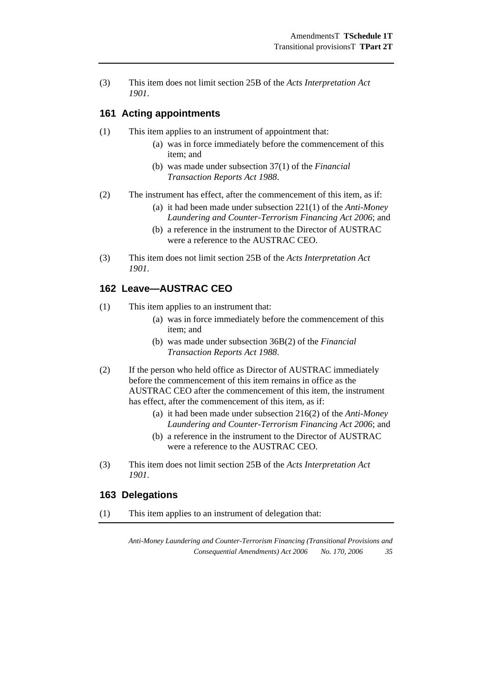(3) This item does not limit section 25B of the *Acts Interpretation Act 1901*.

#### **161 Acting appointments**

- (1) This item applies to an instrument of appointment that:
	- (a) was in force immediately before the commencement of this item; and
	- (b) was made under subsection 37(1) of the *Financial Transaction Reports Act 1988*.
- (2) The instrument has effect, after the commencement of this item, as if:
	- (a) it had been made under subsection 221(1) of the *Anti-Money Laundering and Counter-Terrorism Financing Act 2006*; and
	- (b) a reference in the instrument to the Director of AUSTRAC were a reference to the AUSTRAC CEO.
- (3) This item does not limit section 25B of the *Acts Interpretation Act 1901*.

## **162 Leave—AUSTRAC CEO**

- (1) This item applies to an instrument that:
	- (a) was in force immediately before the commencement of this item; and
	- (b) was made under subsection 36B(2) of the *Financial Transaction Reports Act 1988*.
- (2) If the person who held office as Director of AUSTRAC immediately before the commencement of this item remains in office as the AUSTRAC CEO after the commencement of this item, the instrument has effect, after the commencement of this item, as if:
	- (a) it had been made under subsection 216(2) of the *Anti-Money Laundering and Counter-Terrorism Financing Act 2006*; and
	- (b) a reference in the instrument to the Director of AUSTRAC were a reference to the AUSTRAC CEO.
- (3) This item does not limit section 25B of the *Acts Interpretation Act 1901*.

### **163 Delegations**

(1) This item applies to an instrument of delegation that: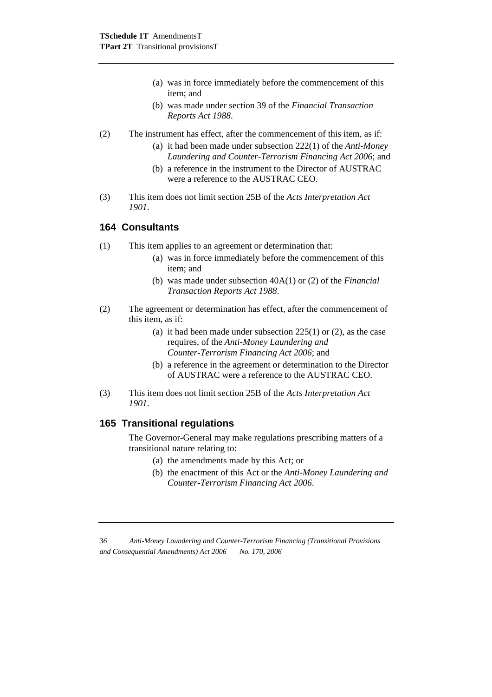- (a) was in force immediately before the commencement of this item; and
- (b) was made under section 39 of the *Financial Transaction Reports Act 1988*.

#### (2) The instrument has effect, after the commencement of this item, as if:

- (a) it had been made under subsection 222(1) of the *Anti-Money Laundering and Counter-Terrorism Financing Act 2006*; and
- (b) a reference in the instrument to the Director of AUSTRAC were a reference to the AUSTRAC CEO.
- (3) This item does not limit section 25B of the *Acts Interpretation Act 1901*.

## **164 Consultants**

- (1) This item applies to an agreement or determination that:
	- (a) was in force immediately before the commencement of this item; and
	- (b) was made under subsection 40A(1) or (2) of the *Financial Transaction Reports Act 1988*.
- (2) The agreement or determination has effect, after the commencement of this item, as if:
	- (a) it had been made under subsection 225(1) or (2), as the case requires, of the *Anti-Money Laundering and Counter-Terrorism Financing Act 2006*; and
	- (b) a reference in the agreement or determination to the Director of AUSTRAC were a reference to the AUSTRAC CEO.
- (3) This item does not limit section 25B of the *Acts Interpretation Act 1901*.

### **165 Transitional regulations**

The Governor-General may make regulations prescribing matters of a transitional nature relating to:

- (a) the amendments made by this Act; or
- (b) the enactment of this Act or the *Anti-Money Laundering and Counter-Terrorism Financing Act 2006*.